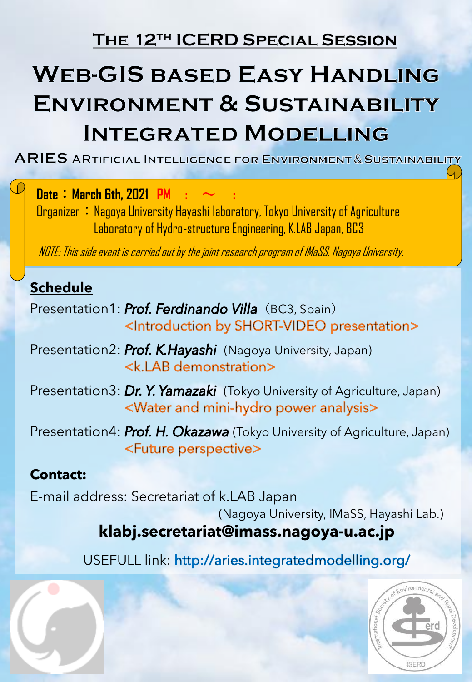## **The 12th ICERD Special Session**

## **WEB-GIS BASED EASY HANDLING ENVIRONMENT & SUSTAINABILITY INTEGRATED MODELLING**

 $ARIES$  artificial Intelligence for Environment & Sustainability

**Date** : March 6th, 2021 PM

Organizer: Nagoya University Hayashi laboratory, Tokyo University of Agriculture Laboratory of Hydro-structure Engineering, K.LAB Japan, BC3

NOTE: This side event is carried out by the joint research program of IMaSS, Nagoya University.

### **Schedule**

Presentation1: Prof. Ferdinando Villa (BC3, Spain) <Introduction by SHORT-VIDEO presentation>

Presentation2: Prof. K.Hayashi (Nagoya University, Japan) <k.LAB demonstration>

Presentation3: Dr. Y. Yamazaki (Tokyo University of Agriculture, Japan) <Water and mini-hydro power analysis>

Presentation4: Prof. H. Okazawa (Tokyo University of Agriculture, Japan) <Future perspective>

#### **Contact:**

E-mail address: Secretariat of k.LAB Japan

(Nagoya University, IMaSS, Hayashi Lab.)

### **klabj.secretariat@imass.nagoya-u.ac.jp**

USEFULL link: http://aries.integratedmodelling.org/